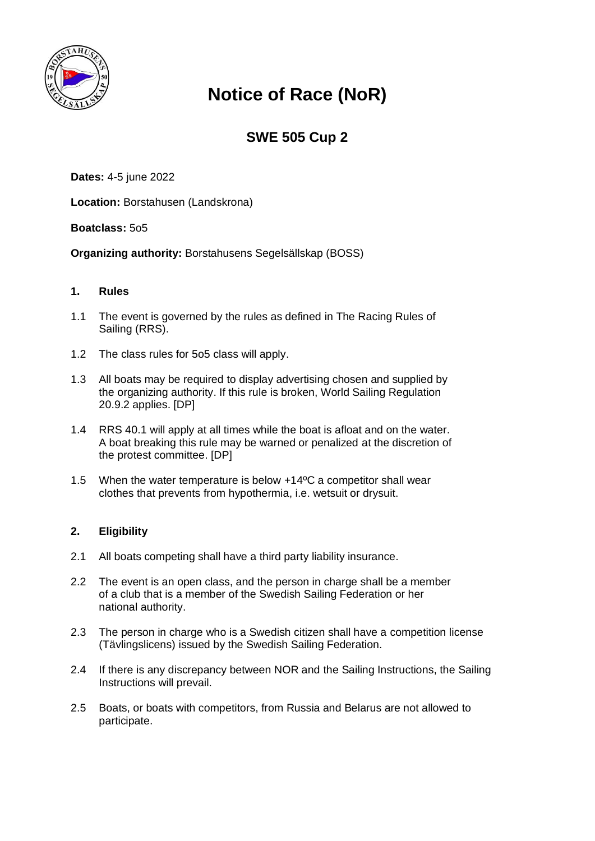

# **Notice of Race (NoR)**

# **SWE 505 Cup 2**

**Dates:** 4-5 june 2022

**Location:** Borstahusen (Landskrona)

# **Boatclass:** 5o5

**Organizing authority:** Borstahusens Segelsällskap (BOSS)

# **1. Rules**

- 1.1 The event is governed by the rules as defined in The Racing Rules of Sailing (RRS).
- 1.2 The class rules for 5o5 class will apply.
- 1.3 All boats may be required to display advertising chosen and supplied by the organizing authority. If this rule is broken, World Sailing Regulation 20.9.2 applies. [DP]
- 1.4 RRS 40.1 will apply at all times while the boat is afloat and on the water. A boat breaking this rule may be warned or penalized at the discretion of the protest committee. [DP]
- 1.5 When the water temperature is below +14ºC a competitor shall wear clothes that prevents from hypothermia, i.e. wetsuit or drysuit.

# **2. Eligibility**

- 2.1 All boats competing shall have a third party liability insurance.
- 2.2 The event is an open class, and the person in charge shall be a member of a club that is a member of the Swedish Sailing Federation or her national authority.
- 2.3 The person in charge who is a Swedish citizen shall have a competition license (Tävlingslicens) issued by the Swedish Sailing Federation.
- 2.4 If there is any discrepancy between NOR and the Sailing Instructions, the Sailing Instructions will prevail.
- 2.5 Boats, or boats with competitors, from Russia and Belarus are not allowed to participate.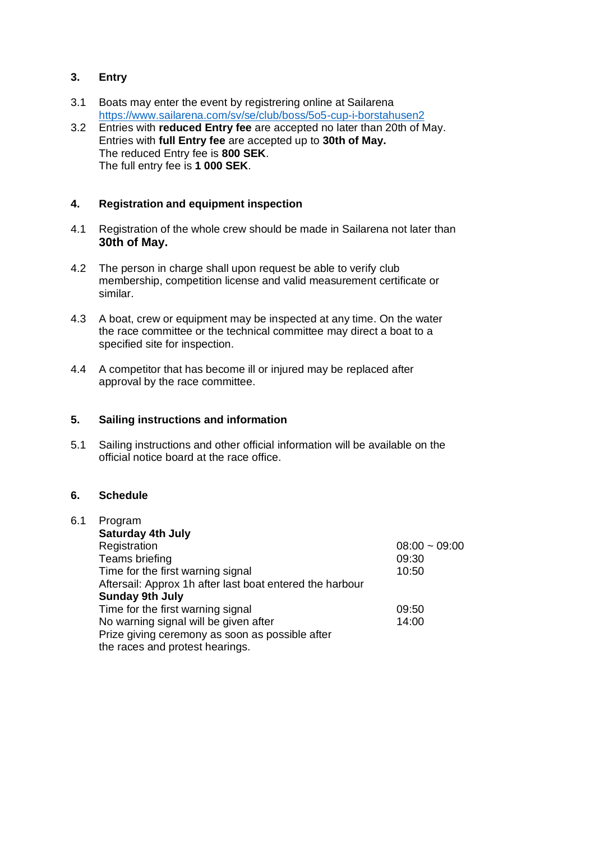# **3. Entry**

- 3.1 Boats may enter the event by registrering online at Sailarena <https://www.sailarena.com/sv/se/club/boss/5o5-cup-i-borstahusen2>
- 3.2 Entries with **reduced Entry fee** are accepted no later than 20th of May. Entries with **full Entry fee** are accepted up to **30th of May.** The reduced Entry fee is **800 SEK**. The full entry fee is **1 000 SEK**.

# **4. Registration and equipment inspection**

- 4.1 Registration of the whole crew should be made in Sailarena not later than **30th of May.**
- 4.2 The person in charge shall upon request be able to verify club membership, competition license and valid measurement certificate or similar.
- 4.3 A boat, crew or equipment may be inspected at any time. On the water the race committee or the technical committee may direct a boat to a specified site for inspection.
- 4.4 A competitor that has become ill or injured may be replaced after approval by the race committee.

#### **5. Sailing instructions and information**

5.1 Sailing instructions and other official information will be available on the official notice board at the race office.

# **6. Schedule**

| Program                                                  |                 |
|----------------------------------------------------------|-----------------|
| <b>Saturday 4th July</b>                                 |                 |
| Registration                                             | $08:00 - 09:00$ |
| Teams briefing                                           | 09:30           |
| Time for the first warning signal                        | 10:50           |
| Aftersail: Approx 1h after last boat entered the harbour |                 |
| <b>Sunday 9th July</b>                                   |                 |
| Time for the first warning signal                        | 09:50           |
| No warning signal will be given after                    | 14:00           |
| Prize giving ceremony as soon as possible after          |                 |
| the races and protest hearings.                          |                 |
|                                                          |                 |